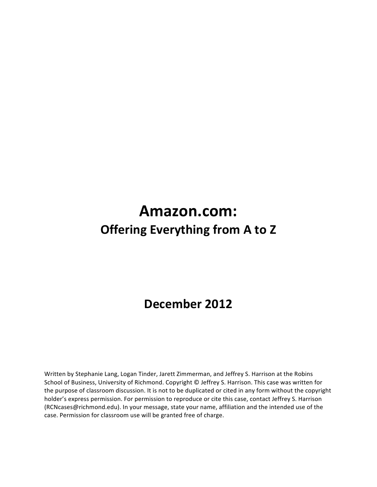# **Amazon.com: Offering Everything from A to Z**

# **December 2012**

Written by Stephanie Lang, Logan Tinder, Jarett Zimmerman, and Jeffrey S. Harrison at the Robins School of Business, University of Richmond. Copyright © Jeffrey S. Harrison. This case was written for the purpose of classroom discussion. It is not to be duplicated or cited in any form without the copyright holder's express permission. For permission to reproduce or cite this case, contact Jeffrey S. Harrison (RCNcases@richmond.edu). In your message, state your name, affiliation and the intended use of the case. Permission for classroom use will be granted free of charge.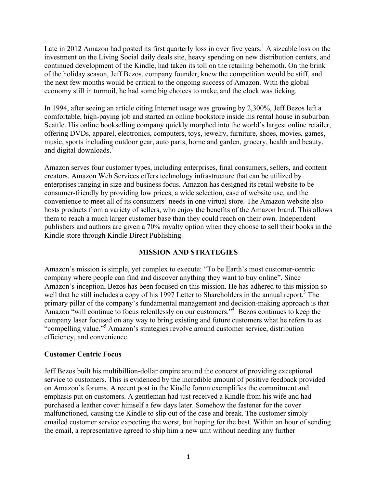Late in 2012 Amazon had posted its first quarterly loss in over five years.<sup>1</sup> A sizeable loss on the investment on the Living Social daily deals site, heavy spending on new distribution centers, and continued development of the Kindle, had taken its toll on the retailing behemoth. On the brink of the holiday season, Jeff Bezos, company founder, knew the competition would be stiff, and the next few months would be critical to the ongoing success of Amazon. With the global economy still in turmoil, he had some big choices to make, and the clock was ticking.

In 1994, after seeing an article citing Internet usage was growing by 2,300%, Jeff Bezos left a comfortable, high-paying job and started an online bookstore inside his rental house in suburban Seattle. His online bookselling company quickly morphed into the world's largest online retailer, offering DVDs, apparel, electronics, computers, toys, jewelry, furniture, shoes, movies, games, music, sports including outdoor gear, auto parts, home and garden, grocery, health and beauty, and digital downloads.<sup>2</sup>

Amazon serves four customer types, including enterprises, final consumers, sellers, and content creators. Amazon Web Services offers technology infrastructure that can be utilized by enterprises ranging in size and business focus. Amazon has designed its retail website to be consumer-friendly by providing low prices, a wide selection, ease of website use, and the convenience to meet all of its consumers' needs in one virtual store. The Amazon website also hosts products from a variety of sellers, who enjoy the benefits of the Amazon brand. This allows them to reach a much larger customer base than they could reach on their own. Independent publishers and authors are given a 70% royalty option when they choose to sell their books in the Kindle store through Kindle Direct Publishing.

## **MISSION AND STRATEGIES**

Amazon's mission is simple, yet complex to execute: "To be Earth's most customer-centric company where people can find and discover anything they want to buy online". Since Amazon's inception, Bezos has been focused on this mission. He has adhered to this mission so well that he still includes a copy of his 1997 Letter to Shareholders in the annual report.<sup>3</sup> The primary pillar of the company's fundamental management and decision-making approach is that Amazon "will continue to focus relentlessly on our customers."<sup>4</sup> Bezos continues to keep the company laser focused on any way to bring existing and future customers what he refers to as "compelling value."<sup>5</sup> Amazon's strategies revolve around customer service, distribution efficiency, and convenience.

## **Customer Centric Focus**

Jeff Bezos built his multibillion-dollar empire around the concept of providing exceptional service to customers. This is evidenced by the incredible amount of positive feedback provided on Amazon's forums. A recent post in the Kindle forum exemplifies the commitment and emphasis put on customers. A gentleman had just received a Kindle from his wife and had purchased a leather cover himself a few days later. Somehow the fastener for the cover malfunctioned, causing the Kindle to slip out of the case and break. The customer simply emailed customer service expecting the worst, but hoping for the best. Within an hour of sending the email, a representative agreed to ship him a new unit without needing any further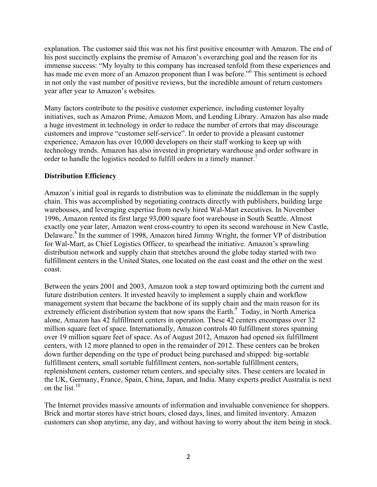explanation. The customer said this was not his first positive encounter with Amazon. The end of his post succinctly explains the premise of Amazon's overarching goal and the reason for its immense success: "My loyalty to this company has increased tenfold from these experiences and has made me even more of an Amazon proponent than I was before."<sup>6</sup> This sentiment is echoed in not only the vast number of positive reviews, but the incredible amount of return customers year after year to Amazon's websites.

Many factors contribute to the positive customer experience, including customer loyalty initiatives, such as Amazon Prime, Amazon Mom, and Lending Library. Amazon has also made a huge investment in technology in order to reduce the number of errors that may discourage customers and improve "customer self-service". In order to provide a pleasant customer experience, Amazon has over 10,000 developers on their staff working to keep up with technology trends. Amazon has also invested in proprietary warehouse and order software in order to handle the logistics needed to fulfill orders in a timely manner.<sup>7</sup>

## **Distribution Efficiency**

Amazon's initial goal in regards to distribution was to eliminate the middleman in the supply chain. This was accomplished by negotiating contracts directly with publishers, building large warehouses, and leveraging expertise from newly hired Wal-Mart executives. In November 1996, Amazon rented its first large 93,000 square foot warehouse in South Seattle. Almost exactly one year later, Amazon went cross-country to open its second warehouse in New Castle, Delaware.<sup>8</sup> In the summer of 1998, Amazon hired Jimmy Wright, the former VP of distribution for Wal-Mart, as Chief Logistics Officer, to spearhead the initiative. Amazon's sprawling distribution network and supply chain that stretches around the globe today started with two fulfillment centers in the United States, one located on the east coast and the other on the west coast.

Between the years 2001 and 2003, Amazon took a step toward optimizing both the current and future distribution centers. It invested heavily to implement a supply chain and workflow management system that became the backbone of its supply chain and the main reason for its extremely efficient distribution system that now spans the Earth.<sup>9</sup> Today, in North America alone, Amazon has 42 fulfillment centers in operation. These 42 centers encompass over 32 million square feet of space. Internationally, Amazon controls 40 fulfillment stores spanning over 19 million square feet of space. As of August 2012, Amazon had opened six fulfillment centers, with 12 more planned to open in the remainder of 2012. These centers can be broken down further depending on the type of product being purchased and shipped: big-sortable fulfillment centers, small sortable fulfillment centers, non-sortable fulfillment centers, replenishment centers, customer return centers, and specialty sites. These centers are located in the UK, Germany, France, Spain, China, Japan, and India. Many experts predict Australia is next on the list. $10$ 

The Internet provides massive amounts of information and invaluable convenience for shoppers. Brick and mortar stores have strict hours, closed days, lines, and limited inventory. Amazon customers can shop anytime, any day, and without having to worry about the item being in stock.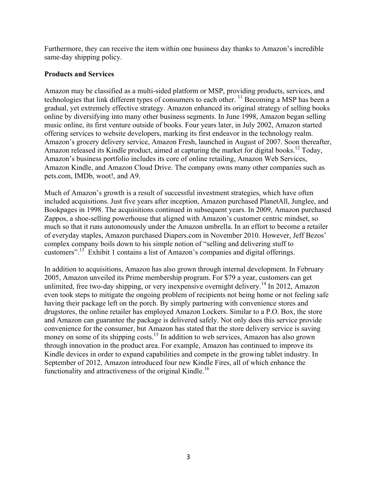Furthermore, they can receive the item within one business day thanks to Amazon's incredible same-day shipping policy.

#### **Products and Services**

Amazon may be classified as a multi-sided platform or MSP, providing products, services, and technologies that link different types of consumers to each other. 11 Becoming a MSP has been a gradual, yet extremely effective strategy. Amazon enhanced its original strategy of selling books online by diversifying into many other business segments. In June 1998, Amazon began selling music online, its first venture outside of books. Four years later, in July 2002, Amazon started offering services to website developers, marking its first endeavor in the technology realm. Amazon's grocery delivery service, Amazon Fresh, launched in August of 2007. Soon thereafter, Amazon released its Kindle product, aimed at capturing the market for digital books.<sup>12</sup> Today, Amazon's business portfolio includes its core of online retailing, Amazon Web Services, Amazon Kindle, and Amazon Cloud Drive. The company owns many other companies such as pets.com, IMDb, woot!, and A9.

Much of Amazon's growth is a result of successful investment strategies, which have often included acquisitions. Just five years after inception, Amazon purchased PlanetAll, Junglee, and Bookpages in 1998. The acquisitions continued in subsequent years. In 2009, Amazon purchased Zappos, a shoe-selling powerhouse that aligned with Amazon's customer centric mindset, so much so that it runs autonomously under the Amazon umbrella. In an effort to become a retailer of everyday staples, Amazon purchased Diapers.com in November 2010. However, Jeff Bezos' complex company boils down to his simple notion of "selling and delivering stuff to customers".13 Exhibit 1 contains a list of Amazon's companies and digital offerings.

In addition to acquisitions, Amazon has also grown through internal development. In February 2005, Amazon unveiled its Prime membership program. For \$79 a year, customers can get unlimited, free two-day shipping, or very inexpensive overnight delivery.<sup>14</sup> In 2012, Amazon even took steps to mitigate the ongoing problem of recipients not being home or not feeling safe having their package left on the porch. By simply partnering with convenience stores and drugstores, the online retailer has employed Amazon Lockers. Similar to a P.O. Box, the store and Amazon can guarantee the package is delivered safely. Not only does this service provide convenience for the consumer, but Amazon has stated that the store delivery service is saving money on some of its shipping costs.<sup>15</sup> In addition to web services, Amazon has also grown through innovation in the product area. For example, Amazon has continued to improve its Kindle devices in order to expand capabilities and compete in the growing tablet industry. In September of 2012, Amazon introduced four new Kindle Fires, all of which enhance the functionality and attractiveness of the original Kindle.<sup>16</sup>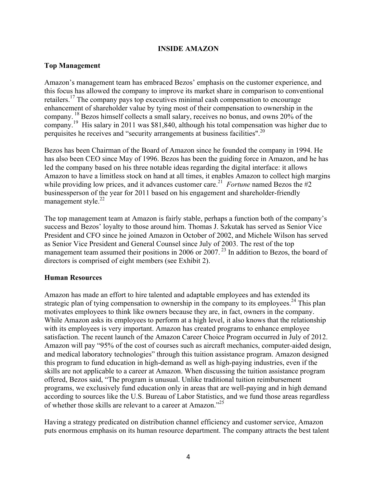#### **INSIDE AMAZON**

#### **Top Management**

Amazon's management team has embraced Bezos' emphasis on the customer experience, and this focus has allowed the company to improve its market share in comparison to conventional retailers.<sup>17</sup> The company pays top executives minimal cash compensation to encourage enhancement of shareholder value by tying most of their compensation to ownership in the company. <sup>18</sup> Bezos himself collects a small salary, receives no bonus, and owns 20% of the company. 19 His salary in 2011 was \$81,840, although his total compensation was higher due to perquisites he receives and "security arrangements at business facilities".20

Bezos has been Chairman of the Board of Amazon since he founded the company in 1994. He has also been CEO since May of 1996. Bezos has been the guiding force in Amazon, and he has led the company based on his three notable ideas regarding the digital interface: it allows Amazon to have a limitless stock on hand at all times, it enables Amazon to collect high margins while providing low prices, and it advances customer care.<sup>21</sup> *Fortune* named Bezos the  $#2$ businessperson of the year for 2011 based on his engagement and shareholder-friendly management style. $^{22}$ 

The top management team at Amazon is fairly stable, perhaps a function both of the company's success and Bezos' loyalty to those around him. Thomas J. Szkutak has served as Senior Vice President and CFO since he joined Amazon in October of 2002, and Michele Wilson has served as Senior Vice President and General Counsel since July of 2003. The rest of the top management team assumed their positions in 2006 or  $2007$ .<sup>23</sup> In addition to Bezos, the board of directors is comprised of eight members (see Exhibit 2).

#### **Human Resources**

Amazon has made an effort to hire talented and adaptable employees and has extended its strategic plan of tying compensation to ownership in the company to its employees.<sup>24</sup> This plan motivates employees to think like owners because they are, in fact, owners in the company. While Amazon asks its employees to perform at a high level, it also knows that the relationship with its employees is very important. Amazon has created programs to enhance employee satisfaction. The recent launch of the Amazon Career Choice Program occurred in July of 2012. Amazon will pay "95% of the cost of courses such as aircraft mechanics, computer-aided design, and medical laboratory technologies" through this tuition assistance program. Amazon designed this program to fund education in high-demand as well as high-paying industries, even if the skills are not applicable to a career at Amazon. When discussing the tuition assistance program offered, Bezos said, "The program is unusual. Unlike traditional tuition reimbursement programs, we exclusively fund education only in areas that are well-paying and in high demand according to sources like the U.S. Bureau of Labor Statistics, and we fund those areas regardless of whether those skills are relevant to a career at Amazon."<sup>25</sup>

Having a strategy predicated on distribution channel efficiency and customer service, Amazon puts enormous emphasis on its human resource department. The company attracts the best talent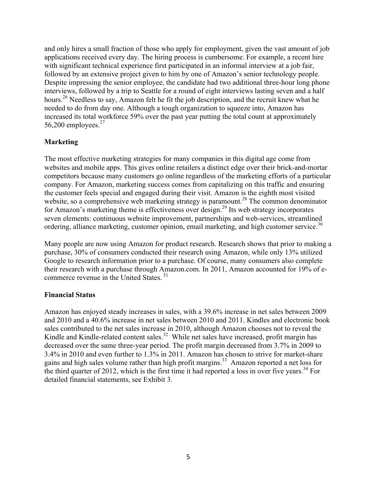and only hires a small fraction of those who apply for employment, given the vast amount of job applications received every day. The hiring process is cumbersome. For example, a recent hire with significant technical experience first participated in an informal interview at a job fair, followed by an extensive project given to him by one of Amazon's senior technology people. Despite impressing the senior employee, the candidate had two additional three-hour long phone interviews, followed by a trip to Seattle for a round of eight interviews lasting seven and a half hours.<sup>26</sup> Needless to say, Amazon felt he fit the job description, and the recruit knew what he needed to do from day one. Although a tough organization to squeeze into, Amazon has increased its total workforce 59% over the past year putting the total count at approximately 56,200 employees. $27$ 

## **Marketing**

The most effective marketing strategies for many companies in this digital age come from websites and mobile apps. This gives online retailers a distinct edge over their brick-and-mortar competitors because many customers go online regardless of the marketing efforts of a particular company. For Amazon, marketing success comes from capitalizing on this traffic and ensuring the customer feels special and engaged during their visit. Amazon is the eighth most visited website, so a comprehensive web marketing strategy is paramount.<sup>28</sup> The common denominator for Amazon's marketing theme is effectiveness over design.29 Its web strategy incorporates seven elements: continuous website improvement, partnerships and web-services, streamlined ordering, alliance marketing, customer opinion, email marketing, and high customer service.<sup>30</sup>

Many people are now using Amazon for product research. Research shows that prior to making a purchase, 30% of consumers conducted their research using Amazon, while only 13% utilized Google to research information prior to a purchase. Of course, many consumers also complete their research with a purchase through Amazon.com. In 2011, Amazon accounted for 19% of ecommerce revenue in the United States. <sup>31</sup>

## **Financial Status**

Amazon has enjoyed steady increases in sales, with a 39.6% increase in net sales between 2009 and 2010 and a 40.6% increase in net sales between 2010 and 2011. Kindles and electronic book sales contributed to the net sales increase in 2010, although Amazon chooses not to reveal the Kindle and Kindle-related content sales.<sup>32</sup> While net sales have increased, profit margin has decreased over the same three-year period. The profit margin decreased from 3.7% in 2009 to 3.4% in 2010 and even further to 1.3% in 2011. Amazon has chosen to strive for market-share gains and high sales volume rather than high profit margins.<sup>33</sup> Amazon reported a net loss for the third quarter of 2012, which is the first time it had reported a loss in over five years.<sup>34</sup> For detailed financial statements, see Exhibit 3.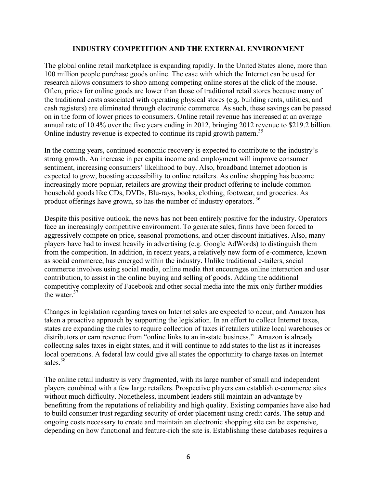#### **INDUSTRY COMPETITION AND THE EXTERNAL ENVIRONMENT**

The global online retail marketplace is expanding rapidly. In the United States alone, more than 100 million people purchase goods online. The ease with which the Internet can be used for research allows consumers to shop among competing online stores at the click of the mouse. Often, prices for online goods are lower than those of traditional retail stores because many of the traditional costs associated with operating physical stores (e.g. building rents, utilities, and cash registers) are eliminated through electronic commerce. As such, these savings can be passed on in the form of lower prices to consumers. Online retail revenue has increased at an average annual rate of 10.4% over the five years ending in 2012, bringing 2012 revenue to \$219.2 billion. Online industry revenue is expected to continue its rapid growth pattern.<sup>35</sup>

In the coming years, continued economic recovery is expected to contribute to the industry's strong growth. An increase in per capita income and employment will improve consumer sentiment, increasing consumers' likelihood to buy. Also, broadband Internet adoption is expected to grow, boosting accessibility to online retailers. As online shopping has become increasingly more popular, retailers are growing their product offering to include common household goods like CDs, DVDs, Blu-rays, books, clothing, footwear, and groceries. As product offerings have grown, so has the number of industry operators. <sup>36</sup>

Despite this positive outlook, the news has not been entirely positive for the industry. Operators face an increasingly competitive environment. To generate sales, firms have been forced to aggressively compete on price, seasonal promotions, and other discount initiatives. Also, many players have had to invest heavily in advertising (e.g. Google AdWords) to distinguish them from the competition. In addition, in recent years, a relatively new form of e-commerce, known as social commerce, has emerged within the industry. Unlike traditional e-tailers, social commerce involves using social media, online media that encourages online interaction and user contribution, to assist in the online buying and selling of goods. Adding the additional competitive complexity of Facebook and other social media into the mix only further muddies the water  $37$ 

Changes in legislation regarding taxes on Internet sales are expected to occur, and Amazon has taken a proactive approach by supporting the legislation. In an effort to collect Internet taxes, states are expanding the rules to require collection of taxes if retailers utilize local warehouses or distributors or earn revenue from "online links to an in-state business." Amazon is already collecting sales taxes in eight states, and it will continue to add states to the list as it increases local operations. A federal law could give all states the opportunity to charge taxes on Internet sales.<sup>38</sup>

The online retail industry is very fragmented, with its large number of small and independent players combined with a few large retailers. Prospective players can establish e-commerce sites without much difficulty. Nonetheless, incumbent leaders still maintain an advantage by benefitting from the reputations of reliability and high quality. Existing companies have also had to build consumer trust regarding security of order placement using credit cards. The setup and ongoing costs necessary to create and maintain an electronic shopping site can be expensive, depending on how functional and feature-rich the site is. Establishing these databases requires a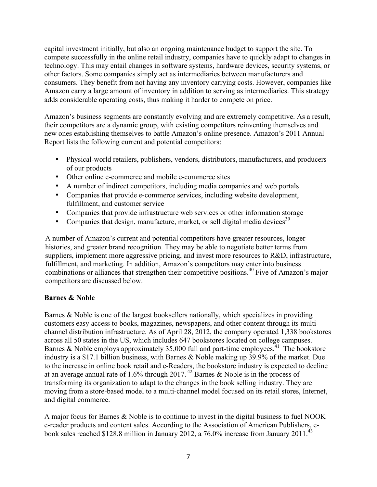capital investment initially, but also an ongoing maintenance budget to support the site. To compete successfully in the online retail industry, companies have to quickly adapt to changes in technology. This may entail changes in software systems, hardware devices, security systems, or other factors. Some companies simply act as intermediaries between manufacturers and consumers. They benefit from not having any inventory carrying costs. However, companies like Amazon carry a large amount of inventory in addition to serving as intermediaries. This strategy adds considerable operating costs, thus making it harder to compete on price.

Amazon's business segments are constantly evolving and are extremely competitive. As a result, their competitors are a dynamic group, with existing competitors reinventing themselves and new ones establishing themselves to battle Amazon's online presence. Amazon's 2011 Annual Report lists the following current and potential competitors:

- Physical-world retailers, publishers, vendors, distributors, manufacturers, and producers of our products
- Other online e-commerce and mobile e-commerce sites
- A number of indirect competitors, including media companies and web portals
- Companies that provide e-commerce services, including website development, fulfillment, and customer service
- Companies that provide infrastructure web services or other information storage
- Companies that design, manufacture, market, or sell digital media devices<sup>39</sup>

A number of Amazon's current and potential competitors have greater resources, longer histories, and greater brand recognition. They may be able to negotiate better terms from suppliers, implement more aggressive pricing, and invest more resources to R&D, infrastructure, fulfillment, and marketing. In addition, Amazon's competitors may enter into business combinations or alliances that strengthen their competitive positions.<sup>40</sup> Five of Amazon's major competitors are discussed below.

## **Barnes & Noble**

Barnes & Noble is one of the largest booksellers nationally, which specializes in providing customers easy access to books, magazines, newspapers, and other content through its multichannel distribution infrastructure. As of April 28, 2012, the company operated 1,338 bookstores across all 50 states in the US, which includes 647 bookstores located on college campuses. Barnes & Noble employs approximately 35,000 full and part-time employees.<sup>41</sup> The bookstore industry is a \$17.1 billion business, with Barnes & Noble making up 39.9% of the market. Due to the increase in online book retail and e-Readers, the bookstore industry is expected to decline at an average annual rate of  $1.6\%$  through  $2017$ .<sup>42</sup> Barnes & Noble is in the process of transforming its organization to adapt to the changes in the book selling industry. They are moving from a store-based model to a multi-channel model focused on its retail stores, Internet, and digital commerce.

A major focus for Barnes & Noble is to continue to invest in the digital business to fuel NOOK e-reader products and content sales. According to the Association of American Publishers, ebook sales reached \$128.8 million in January 2012, a 76.0% increase from January 2011.<sup>43</sup>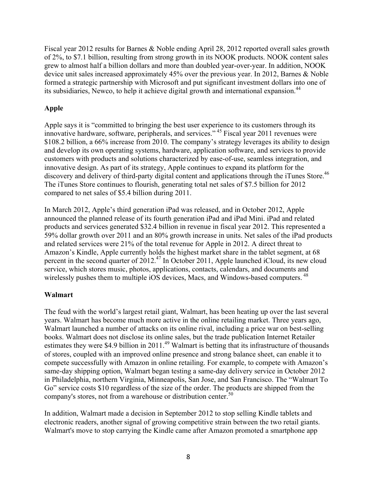Fiscal year 2012 results for Barnes & Noble ending April 28, 2012 reported overall sales growth of 2%, to \$7.1 billion, resulting from strong growth in its NOOK products. NOOK content sales grew to almost half a billion dollars and more than doubled year-over-year. In addition, NOOK device unit sales increased approximately 45% over the previous year. In 2012, Barnes & Noble formed a strategic partnership with Microsoft and put significant investment dollars into one of its subsidiaries, Newco, to help it achieve digital growth and international expansion.<sup>44</sup>

# **Apple**

Apple says it is "committed to bringing the best user experience to its customers through its innovative hardware, software, peripherals, and services." <sup>45</sup> Fiscal year 2011 revenues were \$108.2 billion, a 66% increase from 2010. The company's strategy leverages its ability to design and develop its own operating systems, hardware, application software, and services to provide customers with products and solutions characterized by ease-of-use, seamless integration, and innovative design. As part of its strategy, Apple continues to expand its platform for the discovery and delivery of third-party digital content and applications through the iTunes Store.<sup>46</sup> The iTunes Store continues to flourish, generating total net sales of \$7.5 billion for 2012 compared to net sales of \$5.4 billion during 2011.

In March 2012, Apple's third generation iPad was released, and in October 2012, Apple announced the planned release of its fourth generation iPad and iPad Mini. iPad and related products and services generated \$32.4 billion in revenue in fiscal year 2012. This represented a 59% dollar growth over 2011 and an 80% growth increase in units. Net sales of the iPad products and related services were 21% of the total revenue for Apple in 2012. A direct threat to Amazon's Kindle, Apple currently holds the highest market share in the tablet segment, at 68 percent in the second quarter of  $2012<sup>47</sup>$  In October 2011, Apple launched iCloud, its new cloud service, which stores music, photos, applications, contacts, calendars, and documents and wirelessly pushes them to multiple iOS devices, Macs, and Windows-based computers.<sup>48</sup>

## **Walmart**

The feud with the world's largest retail giant, Walmart, has been heating up over the last several years. Walmart has become much more active in the online retailing market. Three years ago, Walmart launched a number of attacks on its online rival, including a price war on best-selling books. Walmart does not disclose its online sales, but the trade publication Internet Retailer estimates they were \$4.9 billion in 2011.<sup>49</sup> Walmart is betting that its infrastructure of thousands of stores, coupled with an improved online presence and strong balance sheet, can enable it to compete successfully with Amazon in online retailing. For example, to compete with Amazon's same-day shipping option, Walmart began testing a same-day delivery service in October 2012 in Philadelphia, northern Virginia, Minneapolis, San Jose, and San Francisco. The "Walmart To Go" service costs \$10 regardless of the size of the order. The products are shipped from the company's stores, not from a warehouse or distribution center.<sup>50</sup>

In addition, Walmart made a decision in September 2012 to stop selling Kindle tablets and electronic readers, another signal of growing competitive strain between the two retail giants. Walmart's move to stop carrying the Kindle came after Amazon promoted a smartphone app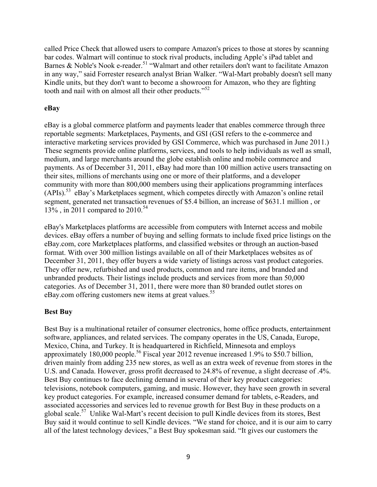called Price Check that allowed users to compare Amazon's prices to those at stores by scanning bar codes. Walmart will continue to stock rival products, including Apple's iPad tablet and Barnes & Noble's Nook e-reader.<sup>51</sup> "Walmart and other retailers don't want to facilitate Amazon in any way," said Forrester research analyst Brian Walker. "Wal-Mart probably doesn't sell many Kindle units, but they don't want to become a showroom for Amazon, who they are fighting tooth and nail with on almost all their other products."<sup>52</sup>

#### **eBay**

eBay is a global commerce platform and payments leader that enables commerce through three reportable segments: Marketplaces, Payments, and GSI (GSI refers to the e-commerce and interactive marketing services provided by GSI Commerce, which was purchased in June 2011.) These segments provide online platforms, services, and tools to help individuals as well as small, medium, and large merchants around the globe establish online and mobile commerce and payments. As of December 31, 2011, eBay had more than 100 million active users transacting on their sites, millions of merchants using one or more of their platforms, and a developer community with more than 800,000 members using their applications programming interfaces (APIs).53 eBay's Marketplaces segment, which competes directly with Amazon's online retail segment, generated net transaction revenues of \$5.4 billion, an increase of \$631.1 million , or 13%, in 2011 compared to  $2010^{54}$ 

eBay's Marketplaces platforms are accessible from computers with Internet access and mobile devices. eBay offers a number of buying and selling formats to include fixed price listings on the eBay.com, core Marketplaces platforms, and classified websites or through an auction-based format. With over 300 million listings available on all of their Marketplaces websites as of December 31, 2011, they offer buyers a wide variety of listings across vast product categories. They offer new, refurbished and used products, common and rare items, and branded and unbranded products. Their listings include products and services from more than 50,000 categories. As of December 31, 2011, there were more than 80 branded outlet stores on eBay.com offering customers new items at great values.<sup>55</sup>

## **Best Buy**

Best Buy is a multinational retailer of consumer electronics, home office products, entertainment software, appliances, and related services. The company operates in the US, Canada, Europe, Mexico, China, and Turkey. It is headquartered in Richfield, Minnesota and employs approximately 180,000 people.<sup>56</sup> Fiscal year 2012 revenue increased 1.9% to  $$50.7$  billion, driven mainly from adding 235 new stores, as well as an extra week of revenue from stores in the U.S. and Canada. However, gross profit decreased to 24.8% of revenue, a slight decrease of .4%. Best Buy continues to face declining demand in several of their key product categories: televisions, notebook computers, gaming, and music. However, they have seen growth in several key product categories. For example, increased consumer demand for tablets, e-Readers, and associated accessories and services led to revenue growth for Best Buy in these products on a global scale.<sup>57</sup> Unlike Wal-Mart's recent decision to pull Kindle devices from its stores, Best Buy said it would continue to sell Kindle devices. "We stand for choice, and it is our aim to carry all of the latest technology devices," a Best Buy spokesman said. "It gives our customers the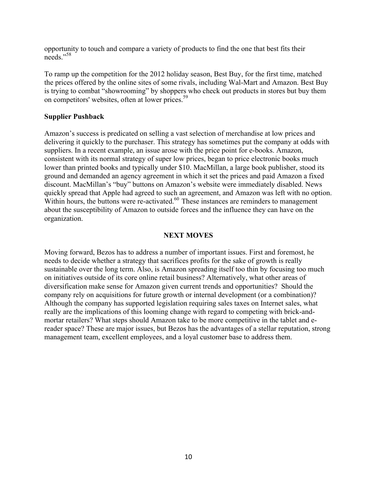opportunity to touch and compare a variety of products to find the one that best fits their needs<sup>"58</sup>

To ramp up the competition for the 2012 holiday season, Best Buy, for the first time, matched the prices offered by the online sites of some rivals, including Wal-Mart and Amazon. Best Buy is trying to combat "showrooming" by shoppers who check out products in stores but buy them on competitors' websites, often at lower prices.<sup>59</sup>

#### **Supplier Pushback**

Amazon's success is predicated on selling a vast selection of merchandise at low prices and delivering it quickly to the purchaser. This strategy has sometimes put the company at odds with suppliers. In a recent example, an issue arose with the price point for e-books. Amazon, consistent with its normal strategy of super low prices, began to price electronic books much lower than printed books and typically under \$10. MacMillan, a large book publisher, stood its ground and demanded an agency agreement in which it set the prices and paid Amazon a fixed discount. MacMillan's "buy" buttons on Amazon's website were immediately disabled. News quickly spread that Apple had agreed to such an agreement, and Amazon was left with no option. Within hours, the buttons were re-activated. $60$  These instances are reminders to management about the susceptibility of Amazon to outside forces and the influence they can have on the organization.

#### **NEXT MOVES**

Moving forward, Bezos has to address a number of important issues. First and foremost, he needs to decide whether a strategy that sacrifices profits for the sake of growth is really sustainable over the long term. Also, is Amazon spreading itself too thin by focusing too much on initiatives outside of its core online retail business? Alternatively, what other areas of diversification make sense for Amazon given current trends and opportunities? Should the company rely on acquisitions for future growth or internal development (or a combination)? Although the company has supported legislation requiring sales taxes on Internet sales, what really are the implications of this looming change with regard to competing with brick-andmortar retailers? What steps should Amazon take to be more competitive in the tablet and ereader space? These are major issues, but Bezos has the advantages of a stellar reputation, strong management team, excellent employees, and a loyal customer base to address them.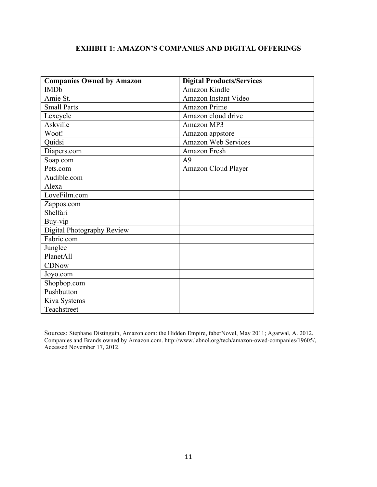# **EXHIBIT 1: AMAZON'S COMPANIES AND DIGITAL OFFERINGS**

| <b>Companies Owned by Amazon</b> | <b>Digital Products/Services</b> |
|----------------------------------|----------------------------------|
| <b>IMDb</b>                      | <b>Amazon Kindle</b>             |
| Amie St.                         | Amazon Instant Video             |
| <b>Small Parts</b>               | <b>Amazon Prime</b>              |
| Lexcycle                         | Amazon cloud drive               |
| Askville                         | Amazon MP3                       |
| Woot!                            | Amazon appstore                  |
| Quidsi                           | <b>Amazon Web Services</b>       |
| Diapers.com                      | Amazon Fresh                     |
| Soap.com                         | A <sup>9</sup>                   |
| Pets.com                         | Amazon Cloud Player              |
| Audible.com                      |                                  |
| Alexa                            |                                  |
| LoveFilm.com                     |                                  |
| Zappos.com                       |                                  |
| Shelfari                         |                                  |
| Buy-vip                          |                                  |
| Digital Photography Review       |                                  |
| Fabric.com                       |                                  |
| Junglee                          |                                  |
| PlanetAll                        |                                  |
| <b>CDNow</b>                     |                                  |
| Joyo.com                         |                                  |
| Shopbop.com                      |                                  |
| Pushbutton                       |                                  |
| Kiva Systems                     |                                  |
| Teachstreet                      |                                  |

Sources: Stephane Distinguin, Amazon.com: the Hidden Empire, faberNovel, May 2011; Agarwal, A. 2012. Companies and Brands owned by Amazon.com. http://www.labnol.org/tech/amazon-owed-companies/19605/, Accessed November 17, 2012.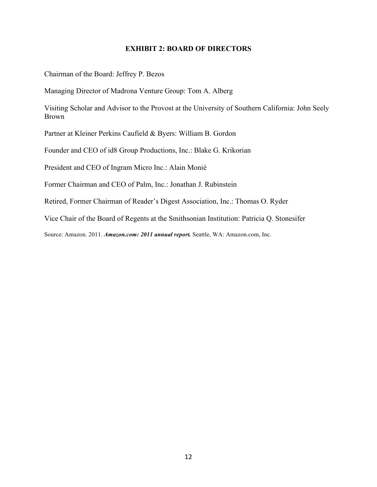#### **EXHIBIT 2: BOARD OF DIRECTORS**

Chairman of the Board: Jeffrey P. Bezos

Managing Director of Madrona Venture Group: Tom A. Alberg

Visiting Scholar and Advisor to the Provost at the University of Southern California: John Seely Brown

Partner at Kleiner Perkins Caufield & Byers: William B. Gordon

Founder and CEO of id8 Group Productions, Inc.: Blake G. Krikorian

President and CEO of Ingram Micro Inc.: Alain Monié

Former Chairman and CEO of Palm, Inc.: Jonathan J. Rubinstein

Retired, Former Chairman of Reader's Digest Association, Inc.: Thomas O. Ryder

Vice Chair of the Board of Regents at the Smithsonian Institution: Patricia Q. Stonesifer

Source: Amazon. 2011. *Amazon.com: 2011 annual report.* Seattle, WA: Amazon.com, Inc.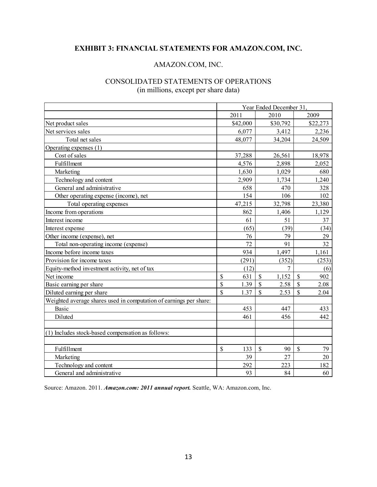# **EXHIBIT 3: FINANCIAL STATEMENTS FOR AMAZON.COM, INC.**

#### AMAZON.COM, INC.

## CONSOLIDATED STATEMENTS OF OPERATIONS (in millions, except per share data)

|                                                                    | Year Ended December 31. |          |                          |              |          |
|--------------------------------------------------------------------|-------------------------|----------|--------------------------|--------------|----------|
|                                                                    |                         | 2011     | 2010                     |              | 2009     |
| Net product sales                                                  |                         | \$42,000 | \$30,792                 |              | \$22,273 |
| Net services sales                                                 |                         | 6,077    | 3,412                    |              | 2,236    |
| Total net sales                                                    |                         | 48,077   | 34,204                   |              | 24,509   |
| Operating expenses (1)                                             |                         |          |                          |              |          |
| Cost of sales                                                      |                         | 37,288   | 26,561                   |              | 18,978   |
| Fulfillment                                                        |                         | 4,576    | 2,898                    |              | 2,052    |
| Marketing                                                          |                         | 1,630    | 1,029                    |              | 680      |
| Technology and content                                             |                         | 2,909    | 1,734                    |              | 1,240    |
| General and administrative                                         |                         | 658      | 470                      |              | 328      |
| Other operating expense (income), net                              |                         | 154      | 106                      |              | 102      |
| Total operating expenses                                           |                         | 47,215   | 32,798                   |              | 23,380   |
| Income from operations                                             |                         | 862      | 1,406                    |              | 1,129    |
| Interest income                                                    |                         | 61       | 51                       |              | 37       |
| Interest expense                                                   |                         | (65)     | (39)                     |              | (34)     |
| Other income (expense), net                                        |                         | 76       | 79                       |              | 29       |
| Total non-operating income (expense)                               |                         | 72       | 91                       |              | 32       |
| Income before income taxes                                         |                         | 934      | 1,497                    |              | 1,161    |
| Provision for income taxes                                         |                         | (291)    | (352)                    |              | (253)    |
| Equity-method investment activity, net of tax                      |                         | (12)     | 7                        |              | (6)      |
| Net income                                                         | \$                      | 631      | \$<br>1,152              | \$           | 902      |
| Basic earning per share                                            | \$                      | 1.39     | \$<br>2.58               | \$           | 2.08     |
| Diluted earning per share                                          | \$                      | 1.37     | \$<br>2.53               | $\mathbb{S}$ | 2.04     |
| Weighted average shares used in computation of earnings per share: |                         |          |                          |              |          |
| <b>Basic</b>                                                       |                         | 453      | 447                      |              | 433      |
| Diluted                                                            |                         | 461      | 456                      |              | 442      |
| (1) Includes stock-based compensation as follows:                  |                         |          |                          |              |          |
| Fulfillment                                                        | \$                      | 133      | $\mathbf{\hat{S}}$<br>90 | $\mathbf S$  | 79       |
| Marketing                                                          |                         | 39       | 27                       |              | 20       |
| Technology and content                                             |                         | 292      | 223                      |              | 182      |
| General and administrative                                         |                         | 93       | 84                       |              | 60       |

Source: Amazon. 2011. *Amazon.com: 2011 annual report.* Seattle, WA: Amazon.com, Inc.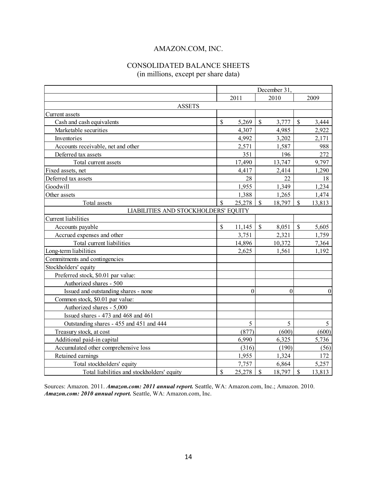# AMAZON.COM, INC.

# CONSOLIDATED BALANCE SHEETS (in millions, except per share data)

|                                            | December 31               |                |               |          |              |              |  |  |  |
|--------------------------------------------|---------------------------|----------------|---------------|----------|--------------|--------------|--|--|--|
|                                            |                           | 2011           |               | 2010     |              | 2009         |  |  |  |
| <b>ASSETS</b>                              |                           |                |               |          |              |              |  |  |  |
| Current assets                             |                           |                |               |          |              |              |  |  |  |
| Cash and cash equivalents                  | $\mathbb{S}$              | 5,269          | $\mathsf{\$}$ | 3,777    | $\mathbb{S}$ | 3,444        |  |  |  |
| Marketable securities                      |                           | 4,307          |               | 4,985    |              | 2,922        |  |  |  |
| Inventories                                |                           | 4,992          |               | 3,202    |              | 2,171        |  |  |  |
| Accounts receivable, net and other         |                           | 2,571          |               | 1,587    |              | 988          |  |  |  |
| Deferred tax assets                        |                           | 351            |               | 196      |              | 272          |  |  |  |
| Total current assets                       |                           | 17,490         |               | 13,747   |              | 9,797        |  |  |  |
| Fixed assets, net                          |                           | 4,417          |               | 2,414    |              | 1,290        |  |  |  |
| Deferred tax assets                        |                           | 28             |               | 22       |              | 18           |  |  |  |
| Goodwill                                   |                           | 1,955          |               | 1,349    |              | 1,234        |  |  |  |
| Other assets                               |                           | 1,388          |               | 1,265    |              | 1,474        |  |  |  |
| Total assets                               | \$                        | 25,278         | \$            | 18,797   | $\mathbb{S}$ | 13,813       |  |  |  |
| LIABILITIES AND STOCKHOLDERS' EQUITY       |                           |                |               |          |              |              |  |  |  |
| <b>Current</b> liabilities                 |                           |                |               |          |              |              |  |  |  |
| Accounts payable                           | $\mathbb S$               | 11,145         | $\mathsf{\$}$ | 8,051    | $\mathbb S$  | 5,605        |  |  |  |
| Accrued expenses and other                 |                           | 3,751          |               | 2,321    |              | 1,759        |  |  |  |
| Total current liabilities                  |                           | 14,896         |               | 10,372   |              | 7,364        |  |  |  |
| Long-term liabilities                      |                           | 2,625          |               | 1,561    |              | 1,192        |  |  |  |
| Commitments and contingencies              |                           |                |               |          |              |              |  |  |  |
| Stockholders' equity                       |                           |                |               |          |              |              |  |  |  |
| Preferred stock, \$0.01 par value:         |                           |                |               |          |              |              |  |  |  |
| Authorized shares - 500                    |                           |                |               |          |              |              |  |  |  |
| Issued and outstanding shares - none       |                           | $\overline{0}$ |               | $\theta$ |              | $\mathbf{0}$ |  |  |  |
| Common stock, \$0.01 par value:            |                           |                |               |          |              |              |  |  |  |
| Authorized shares - 5,000                  |                           |                |               |          |              |              |  |  |  |
| Issued shares - 473 and 468 and 461        |                           |                |               |          |              |              |  |  |  |
| Outstanding shares - 455 and 451 and 444   |                           | 5              |               | 5        |              | 5            |  |  |  |
| Treasury stock, at cost                    |                           | (877)          |               | (600)    |              | (600)        |  |  |  |
| Additional paid-in capital                 |                           | 6,990          |               | 6,325    |              | 5,736        |  |  |  |
| Accumulated other comprehensive loss       |                           | (316)          |               | (190)    |              | (56)         |  |  |  |
| Retained earnings                          |                           | 1,955          |               | 1,324    |              | 172          |  |  |  |
| Total stockholders' equity                 |                           | 7,757          |               | 6,864    |              | 5,257        |  |  |  |
| Total liabilities and stockholders' equity | $\boldsymbol{\mathsf{S}}$ | 25,278         | $\mathbb{S}$  | 18,797   | $\mathbb{S}$ | 13,813       |  |  |  |

Sources: Amazon. 2011. *Amazon.com: 2011 annual report.* Seattle, WA: Amazon.com, Inc.; Amazon. 2010. *Amazon.com: 2010 annual report.* Seattle, WA: Amazon.com, Inc.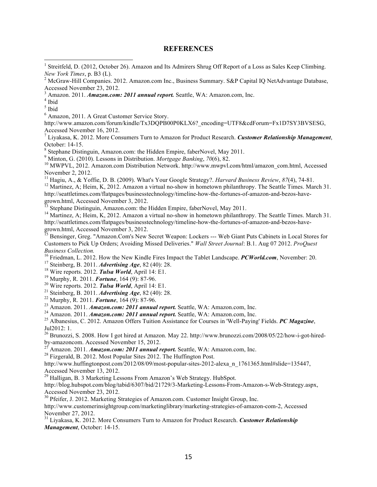#### **REFERENCES**

<sup>1</sup> Streitfeld, D. (2012, October 26). Amazon and Its Admirers Shrug Off Report of a Loss as Sales Keep Climbing.

<sup>3</sup> Amazon. 2011. *Amazon.com: 2011 annual report.* Seattle, WA: Amazon.com, Inc.  $4$  Ibid

<sup>5</sup> Ibid

<sup>6</sup> Amazon, 2011. A Great Customer Service Story.

 

http://www.amazon.com/forum/kindle/Tx3DQPB00P0KLX6?\_encoding=UTF8&cdForum=Fx1D7SY3BVSESG, Accessed November 16, 2012.

<sup>7</sup> Liyakasa, K. 2012. More Consumers Turn to Amazon for Product Research. *Customer Relationship Management*,

October: 14-15.<br><sup>8</sup> Stephane Distinguin, Amazon.com: the Hidden Empire, faberNovel, May 2011.<br><sup>9</sup> Minton, G. (2010). Lessons in Distribution. *Mortgage Banking*, 70(6), 82.

<sup>10</sup> MWPVL, 2012. Amazon.com Distribution Network. http://www.mwpvl.com/html/amazon\_com.html, Accessed November 2, 2012.

<sup>11</sup> Hagiu, A., & Yoffie, D. B. (2009). What's Your Google Strategy?. *Harvard Business Review*, 87(4), 74-81.<br><sup>12</sup> Martinez, A: Heim, K. 2012. Amazon a virtual no-show in hometown philanthropy. The Seattle Times. March 3

http://seattletimes.com/flatpages/businesstechnology/timeline-how-the-fortunes-of-amazon-and-bezos-havegrown.html, Accessed November 3, 2012.<br><sup>13</sup> Stephane Distinguin, Amazon.com: the Hidden Empire, faberNovel, May 2011.<br><sup>14</sup> Martinez, A; Heim, K, 2012. Amazon a virtual no-show in hometown philanthropy. The Seattle Times. M

http://seattletimes.com/flatpages/businesstechnology/timeline-how-the-fortunes-of-amazon-and-bezos-have-

grown.html, Accessed November 3, 2012.<br><sup>15</sup> Bensinger, Greg. "Amazon.Com's New Secret Weapon: Lockers --- Web Giant Puts Cabinets in Local Stores for Customers to Pick Up Orders; Avoiding Missed Deliveries." *Wall Street Journal*: B.1. Aug 07 2012. *ProQuest Business Collection.*<br><sup>16</sup> Friedman, L. 2012. How the New Kindle Fires Impact the Tablet Landscape. *PCWorld.com*, November: 20.

- 
- 
- 
- 

<sup>17</sup> Steinberg, B. 2011. *Advertising Age*, 82 (40): 28.<br><sup>18</sup> Wire reports. 2012. *Tulsa World*, April 14: E1.<br><sup>19</sup> Murphy, R. 2011. *Fortune*, 164 (9): 87-96.<br><sup>20</sup> Wire reports. 2012. *Tulsa World*, April 14: E1.<br><sup>21</sup> St Jul2012: 1.

<sup>26</sup> Brunozzi, S. 2008. How I got hired at Amazon. May 22. http://www.brunozzi.com/2008/05/22/how-i-got-hiredby-amazoncom. Accessed November 15, 2012.<br><sup>27</sup> Amazon. 2011. *Amazon.com: 2011 annual report*. Seattle, WA: Amazon.com, Inc. <sup>28</sup> Fizgerald, B. 2012. Most Popular Sites 2012. The Huffington Post.

http://www.huffingtonpost.com/2012/08/09/most-popular-sites-2012-alexa\_n\_1761365.html#slide=135447, Accessed November 13, 2012.

<sup>29</sup> Halligan, B. 3 Marketing Lessons From Amazon's Web Strategy. HubSpot.

http://blog.hubspot.com/blog/tabid/6307/bid/21729/3-Marketing-Lessons-From-Amazon-s-Web-Strategy.aspx, Accessed November 23, 2012.

<sup>30</sup> Pfeifer, J. 2012. Marketing Strategies of Amazon.com. Customer Insight Group, Inc. http://www.customerinsightgroup.com/marketinglibrary/marketing-strategies-of-amazon-com-2, Accessed November 27, 2012.

<sup>31</sup> Liyakasa, K. 2012. More Consumers Turn to Amazon for Product Research. *Customer Relationship Management*, October: 14-15.

*New York Times*, p. B3 (L).<br><sup>2</sup> McGraw-Hill Companies. 2012. Amazon.com Inc., Business Summary. S&P Capital IQ NetAdvantage Database, Accessed November 23, 2012.